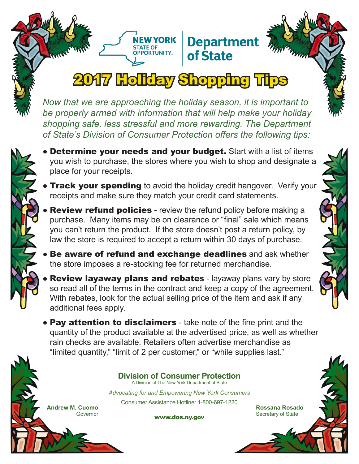## 2017 Holiday Shopping Tips

**NEW YORK** STATE OF<br>STATE OF<br>OPPORTUNITY...

**Department** 

of State

*Now that we are approaching the holiday season, it is important to be properly armed with information that will help make your holiday shopping safe, less stressful and more rewarding. The Department of State's Division of Consumer Protection offers the following tips:*

- Determine your needs and your budget. Start with a list of items you wish to purchase, the stores where you wish to shop and designate a place for your receipts.
- **Track your spending** to avoid the holiday credit hangover. Verify your receipts and make sure they match your credit card statements.
- **Review refund policies** review the refund policy before making a purchase. Many items may be on clearance or "final" sale which means you can't return the product. If the store doesn't post a return policy, by law the store is required to accept a return within 30 days of purchase.
- **Be aware of refund and exchange deadlines** and ask whether the store imposes a re-stocking fee for returned merchandise.
- **Review layaway plans and rebates** layaway plans vary by store so read all of the terms in the contract and keep a copy of the agreement. With rebates, look for the actual selling price of the item and ask if any additional fees apply.
- Pay attention to disclaimers take note of the fine print and the quantity of the product available at the advertised price, as well as whether rain checks are available. Retailers often advertise merchandise as "limited quantity," "limit of 2 per customer," or "while supplies last."

**Division of Consumer Protection** A Division of The New York Department of State

*Advocating for and Empowering New York Consumers* Consumer Assistance Hotline: 1-800-697-1220

www.dos.ny.gov

**Rossana Rosado** Secretary of State



**Andrew M. Cuomo**

Governor